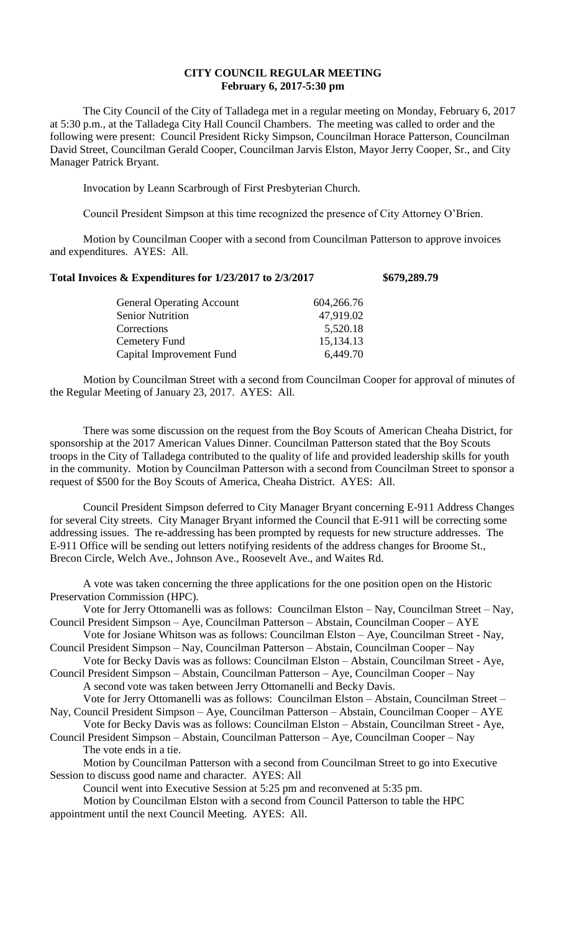## **CITY COUNCIL REGULAR MEETING February 6, 2017-5:30 pm**

The City Council of the City of Talladega met in a regular meeting on Monday, February 6, 2017 at 5:30 p.m., at the Talladega City Hall Council Chambers. The meeting was called to order and the following were present: Council President Ricky Simpson, Councilman Horace Patterson, Councilman David Street, Councilman Gerald Cooper, Councilman Jarvis Elston, Mayor Jerry Cooper, Sr., and City Manager Patrick Bryant.

Invocation by Leann Scarbrough of First Presbyterian Church.

Council President Simpson at this time recognized the presence of City Attorney O'Brien.

Motion by Councilman Cooper with a second from Councilman Patterson to approve invoices and expenditures. AYES: All.

## **Total Invoices & Expenditures for 1/23/2017 to 2/3/2017 \$679,289.79**

| 604,266.76 |
|------------|
| 47,919.02  |
| 5,520.18   |
| 15,134.13  |
| 6,449.70   |
|            |

Motion by Councilman Street with a second from Councilman Cooper for approval of minutes of the Regular Meeting of January 23, 2017. AYES: All.

There was some discussion on the request from the Boy Scouts of American Cheaha District, for sponsorship at the 2017 American Values Dinner. Councilman Patterson stated that the Boy Scouts troops in the City of Talladega contributed to the quality of life and provided leadership skills for youth in the community. Motion by Councilman Patterson with a second from Councilman Street to sponsor a request of \$500 for the Boy Scouts of America, Cheaha District. AYES: All.

Council President Simpson deferred to City Manager Bryant concerning E-911 Address Changes for several City streets. City Manager Bryant informed the Council that E-911 will be correcting some addressing issues. The re-addressing has been prompted by requests for new structure addresses. The E-911 Office will be sending out letters notifying residents of the address changes for Broome St., Brecon Circle, Welch Ave., Johnson Ave., Roosevelt Ave., and Waites Rd.

A vote was taken concerning the three applications for the one position open on the Historic Preservation Commission (HPC).

Vote for Jerry Ottomanelli was as follows: Councilman Elston – Nay, Councilman Street – Nay, Council President Simpson – Aye, Councilman Patterson – Abstain, Councilman Cooper – AYE

Vote for Josiane Whitson was as follows: Councilman Elston – Aye, Councilman Street - Nay, Council President Simpson – Nay, Councilman Patterson – Abstain, Councilman Cooper – Nay

Vote for Becky Davis was as follows: Councilman Elston – Abstain, Councilman Street - Aye, Council President Simpson – Abstain, Councilman Patterson – Aye, Councilman Cooper – Nay

A second vote was taken between Jerry Ottomanelli and Becky Davis. Vote for Jerry Ottomanelli was as follows: Councilman Elston – Abstain, Councilman Street –

Nay, Council President Simpson – Aye, Councilman Patterson – Abstain, Councilman Cooper – AYE

Vote for Becky Davis was as follows: Councilman Elston – Abstain, Councilman Street - Aye, Council President Simpson – Abstain, Councilman Patterson – Aye, Councilman Cooper – Nay The vote ends in a tie.

Motion by Councilman Patterson with a second from Councilman Street to go into Executive Session to discuss good name and character. AYES: All

Council went into Executive Session at 5:25 pm and reconvened at 5:35 pm.

Motion by Councilman Elston with a second from Council Patterson to table the HPC appointment until the next Council Meeting. AYES: All.